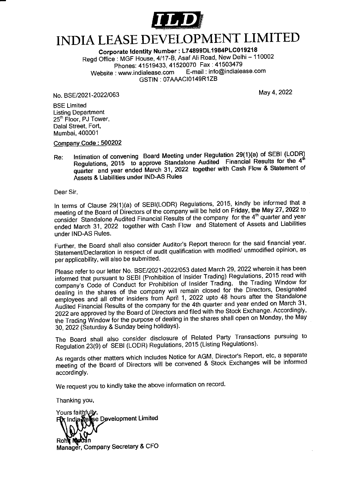

## **INDIA LEASE DEVELOPMENT LIMITED**

Corporate Identity Number : L74899DL1984PLC019218 Regd Office : MGF House, 4/17-B, Asaf Ali Road, New Delhi - 110002 Phones: 41519433, 41520070 Fax: 41503479 E-mail: info@indialease.com Website: www.indialease.com GSTIN: 07AAACI0149R1ZB

No BSF/2021-2022/063

May 4, 2022

**BSE Limited Listing Department** 25<sup>th</sup> Floor, PJ Tower, Dalal Street, Fort, Mumbai, 400001

Company Code: 500202

Intimation of convening Board Meeting under Regulation 29(1)(a) of SEBI (LODR) Re: Regulations, 2015 to approve Standalone Audited Financial Results for the 4 quarter and year ended March 31, 2022 together with Cash Flow & Statement of Assets & Liabilities under IND-AS Rules

Dear Sir.

In terms of Clause 29(1)(a) of SEBI(LODR) Regulations, 2015, kindly be informed that a meeting of the Board of Directors of the company will be held on Friday, the May 27, 2022 to consider Standalone Audited Financial Results of the company for the 4<sup>th</sup> quarter and year ended March 31, 2022 together with Cash Flow and Statement of Assets and Liabilities under IND-AS Rules.

Further, the Board shall also consider Auditor's Report thereon for the said financial year. Statement/Declaration in respect of audit qualification with modified/ unmodified opinion, as per applicability, will also be submitted.

Please refer to our letter No. BSE/2021-2022/053 dated March 29, 2022 wherein it has been informed that pursuant to SEBI (Prohibition of Insider Trading) Regulations, 2015 read with company's Code of Conduct for Prohibition of Insider Trading, the Trading Window for<br>dealing in the shares of the company will remain closed for the Directors, Designated employees and all other insiders from April 1, 2022 upto 48 hours after the Standalone Audited Financial Results of the company for the 4th quarter and year ended on March 31, 2022 are approved by the Board of Directors and filed with the Stock Exchange. Accordingly, the Trading Window for the purpose of dealing in the shares shall open on Monday, the May 30, 2022 (Saturday & Sunday being holidays).

The Board shall also consider disclosure of Related Party Transactions pursuing to Regulation 23(9) of SEBI (LODR) Regulations, 2015 (Listing Regulations).

As regards other matters which includes Notice for AGM, Director's Report, etc, a separate meeting of the Board of Directors will be convened & Stock Exchanges will be informed accordingly.

We request you to kindly take the above information on record.

Thanking you,

Yours faithfully, India Development Limited

Manager, Company Secretary & CFO